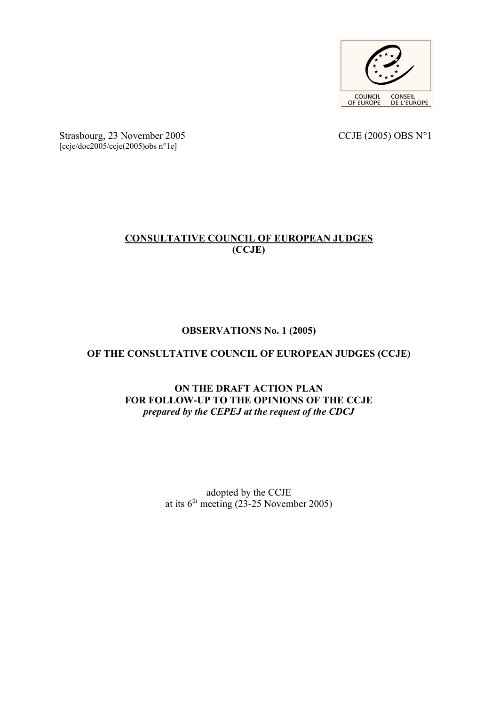

Strasbourg, 23 November 2005 CCJE (2005) OBS N°1 [ccje/doc2005/ccje(2005)obs n°1e]

## **CONSULTATIVE COUNCIL OF EUROPEAN JUDGES (CCJE)**

## **OBSERVATIONS No. 1 (2005)**

## **OF THE CONSULTATIVE COUNCIL OF EUROPEAN JUDGES (CCJE)**

## **ON THE DRAFT ACTION PLAN FOR FOLLOW-UP TO THE OPINIONS OF THE CCJE** *prepared by the CEPEJ at the request of the CDCJ*

adopted by the CCJE at its  $6<sup>th</sup>$  meeting (23-25 November 2005)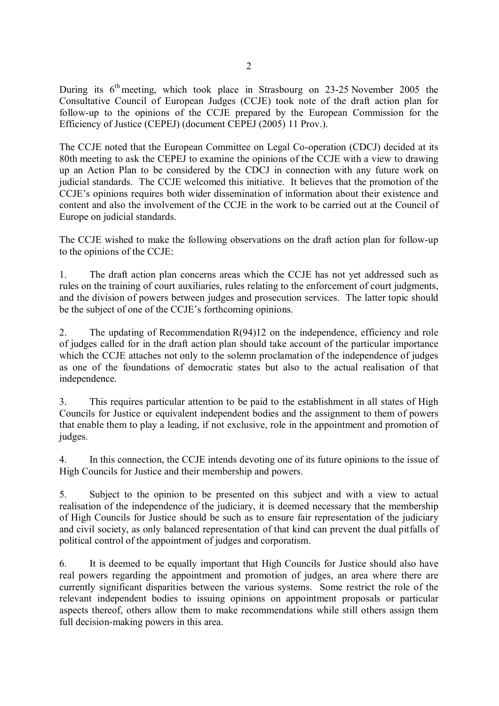During its  $6<sup>th</sup>$  meeting, which took place in Strasbourg on 23-25 November 2005 the Consultative Council of European Judges (CCJE) took note of the draft action plan for follow-up to the opinions of the CCJE prepared by the European Commission for the Efficiency of Justice (CEPEJ) (document CEPEJ (2005) 11 Prov.).

The CCJE noted that the European Committee on Legal Co-operation (CDCJ) decided at its 80th meeting to ask the CEPEJ to examine the opinions of the CCJE with a view to drawing up an Action Plan to be considered by the CDCJ in connection with any future work on judicial standards. The CCJE welcomed this initiative. It believes that the promotion of the CCJE's opinions requires both wider dissemination of information about their existence and content and also the involvement of the CCJE in the work to be carried out at the Council of Europe on judicial standards.

The CCJE wished to make the following observations on the draft action plan for follow-up to the opinions of the CCJE:

1. The draft action plan concerns areas which the CCJE has not yet addressed such as rules on the training of court auxiliaries, rules relating to the enforcement of court judgments, and the division of powers between judges and prosecution services. The latter topic should be the subject of one of the CCJE's forthcoming opinions.

2. The updating of Recommendation R(94)12 on the independence, efficiency and role of judges called for in the draft action plan should take account of the particular importance which the CCJE attaches not only to the solemn proclamation of the independence of judges as one of the foundations of democratic states but also to the actual realisation of that independence.

3. This requires particular attention to be paid to the establishment in all states of High Councils for Justice or equivalent independent bodies and the assignment to them of powers that enable them to play a leading, if not exclusive, role in the appointment and promotion of judges.

4. In this connection, the CCJE intends devoting one of its future opinions to the issue of High Councils for Justice and their membership and powers.

5. Subject to the opinion to be presented on this subject and with a view to actual realisation of the independence of the judiciary, it is deemed necessary that the membership of High Councils for Justice should be such as to ensure fair representation of the judiciary and civil society, as only balanced representation of that kind can prevent the dual pitfalls of political control of the appointment of judges and corporatism.

6. It is deemed to be equally important that High Councils for Justice should also have real powers regarding the appointment and promotion of judges, an area where there are currently significant disparities between the various systems. Some restrict the role of the relevant independent bodies to issuing opinions on appointment proposals or particular aspects thereof, others allow them to make recommendations while still others assign them full decision-making powers in this area.